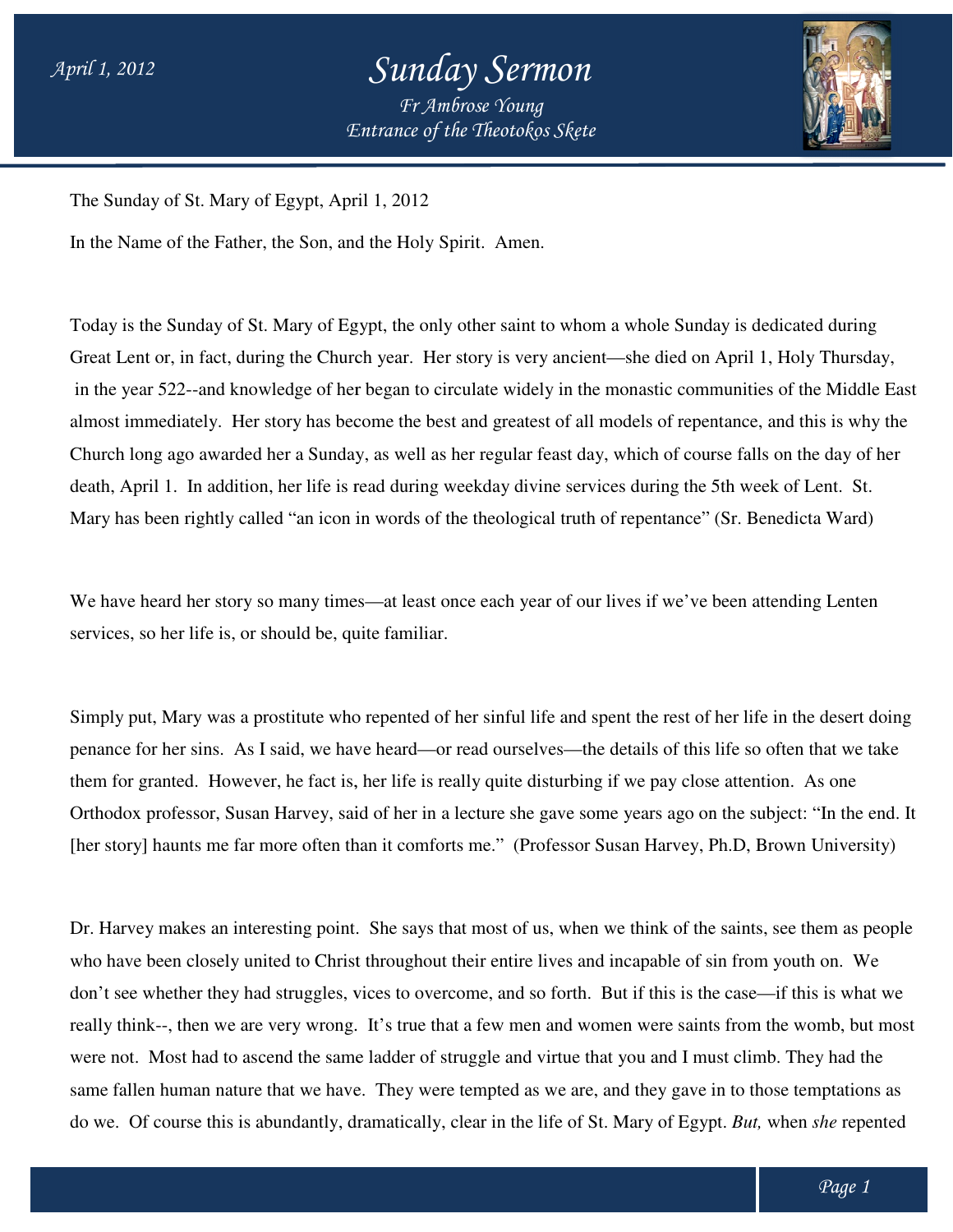## *Entrance of the Theotokos Skete Sunday Sermon Fr Ambrose Young*



The Sunday of St. Mary of Egypt, April 1, 2012

In the Name of the Father, the Son, and the Holy Spirit. Amen.

Today is the Sunday of St. Mary of Egypt, the only other saint to whom a whole Sunday is dedicated during Today is the Sunday of St. Mary of Egypt, the only other saint to whom a whole Sunday is dedicated during<br>Great Lent or, in fact, during the Church year. Her story is very ancient—she died on April 1, Holy Thursday, in the year 522--and knowledge of her began to circulate widely in the monastic communities of the Middle East almost immediately. Her story has become the best and greatest of all models of repentance, and this is why the almost immediately. Her story has become the best and greatest of all models of repentance, and this is why the<br>Church long ago awarded her a Sunday, as well as her regular feast day, which of course falls on the day of he death, April 1. In addition, her life is read during weekday divine services during the 5th week of Lent. St. Mary has been rightly called "an icon in words of the theological truth of repentance" (Sr. Benedicta War In addition, her life is read during weekday divine services during the 5th week of Lent. St.<br>rightly called "an icon in words of the theological truth of repentance" (Sr. Benedicta Ward)<br>her story so many times—at least o ay is the Sunday of St. Mary of Egypt, the only other saint to whom a whole Sunday is dedicated during<br>at Lent or, in fact, during the Church year. Her story is very ancient—she died on April 1, Holy Thursda<br>he year 522--a Ward)

We have heard her story so many times—at least once each year of our lives if we've been attending Lenten services, so her life is, or should be, quite familiar.

Simply put, Mary was a prostitute who repented of her sinful life and spent the rest of her life in the desert doing penance for her sins. As I said, we have heard—or read ourselves—the details of this life so often that we take them for granted. However, he fact is, her life is really quite disturbing if we pay close attention. Orthodox professor, Susan Harvey, said of her in a lecture she gave some years ago on the subject: "In the end. It them for granted. However, he fact is, her life is really quite disturbing if we pay close attention. As one<br>Orthodox professor, Susan Harvey, said of her in a lecture she gave some years ago on the subject: "In the end.<br>[ at least once each year of our lives if we've been attending Lenten<br>familiar.<br>pented of her sinful life and spent the rest of her life in the desert doing<br>eard—or read ourselves—the details of this life so often that we ta

Dr. Harvey makes an interesting point. She says that most of us, when we think of the saints, see them as people who have been closely united to Christ throughout their entire lives and incapable of sin from youth on. We who have been closely united to Christ throughout their entire lives and incapable of sin from youth on. We don't see whether they had struggles, vices to overcome, and so forth. But if this is the case—if this is what we really think--, then we are very wrong. It's true that a few men and women were saints from the womb, but most<br>were not. Most had to ascend the same ladder of struggle and virtue that you and I must climb. They had the were not. Most had to ascend the same ladder of struggle and virtue that you and I must climb. They had the were not. Most had to ascend the same ladder of struggle and virtue that you and I must climb. They had the<br>same fallen human nature that we have. They were tempted as we are, and they gave in to those temptations as do we. Of course this is abundantly, dramatically, clear in the life of St. Mary of Egypt. But, when she repented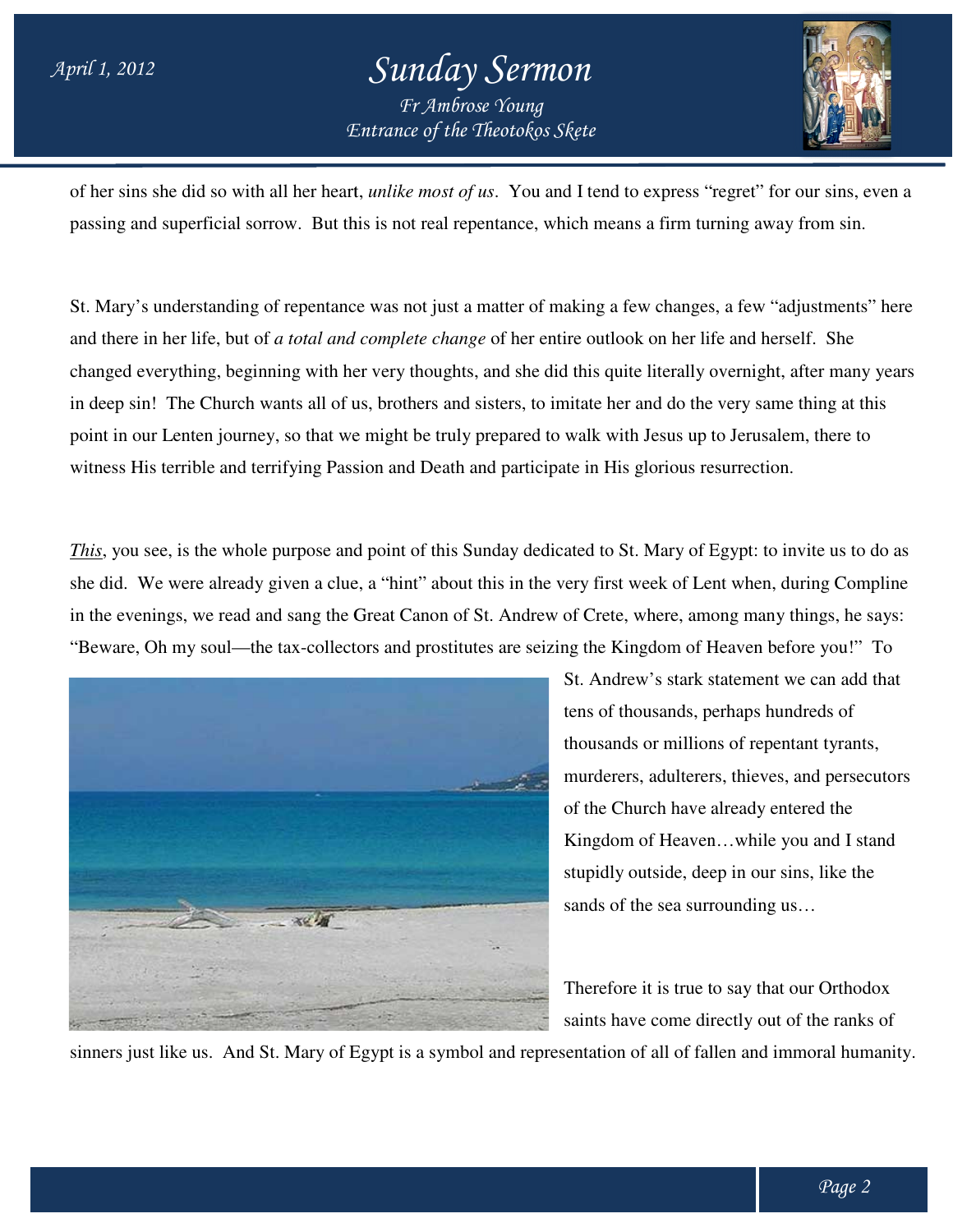## *Entrance of the Theotokos Skete Sunday Sermon Fr Ambrose Young*



of her sins she did so with all her heart, *unlike most of us*. You and I tend to express "regret" for our sins, even a passing and superficial sorrow. But this is not real repentance, which means a firm turning away from sin.

passing and superficial sorrow. But this is not real repentance, which means a firm turning away from sin.<br>St. Mary's understanding of repentance was not just a matter of making a few changes, a few "adjustments" here and there in her life, but of *a total and complete change* of her entire outlook on her life and herself. changed everything, beginning with her very thoughts, and she did this quite literally overnight, after many years in deep sin! The Church wants all of us, brothers and sisters, to imitate her and do the very same thing at this changed everything, beginning with her very thoughts, and she did this quite literally overnight, after many<br>in deep sin! The Church wants all of us, brothers and sisters, to imitate her and do the very same thing at th<br>po witness His terrible and terrifying Passion and Death and participate in His glorious resurrection. like most of us. You and I tend to express "regret" for our sins, even a<br>not real repentance, which means a firm turning away from sin.<br>s not just a matter of making a few changes, a few "adjustments" here<br>plete change of

*This*, you see, is the whole purpose and point of this Sunday dedicated to St. Mary of Egypt: to invite us to do as she did. We were already given a clue, a "hint" about this in the very first week of Lent when, during Compline in the evenings, we read and sang the Great Canon of St. Andrew of Crete, where, among many things, he says: "Beware, Oh my soul—the tax-collectors and prostitutes are seizing the Kingdom of Heaven before you!" To its all of us, brothers and sisters, to imitate her and do the very same thing at t<br>so that we might be truly prepared to walk with Jesus up to Jerusalem, there t<br>fying Passion and Death and participate in His glorious res



St. Andrew's stark statement we can add that tens of thousands, perhaps hundreds of thousands or millions of repentant tyrants, murderers, adulterers, thieves, and persecutors of the Church have already entered the Kingdom of Heaven…while you and I stand stupidly outside, deep in our sins, like the sands of the sea surrounding us… St. Andrew's stark statement we can add that<br>tens of thousands, perhaps hundreds of<br>thousands or millions of repentant tyrants,<br>murderers, adulterers, thieves, and persecutors<br>of the Church have already entered the<br>Kingdom

Therefore it is true to say that our Orthodox saints have come directly out of the ranks of

sinners just like us. And St. Mary of Egypt is a symbol and representation of all of fallen and immoral humanity.